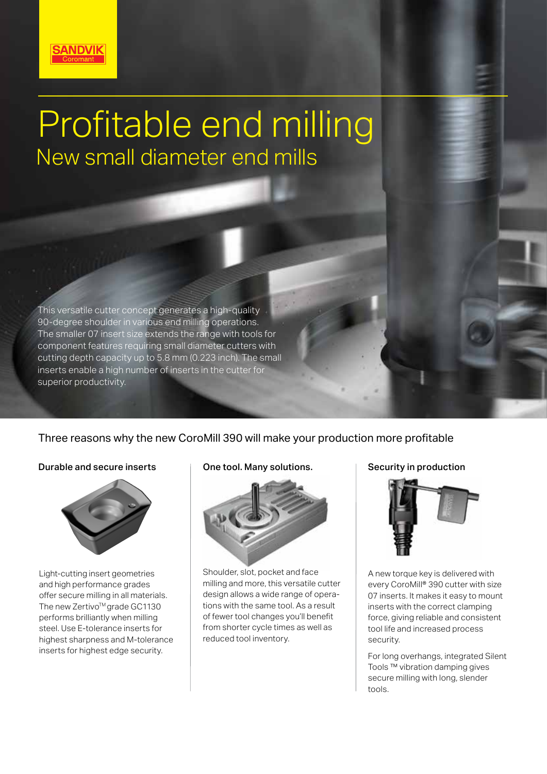

# Profitable end milling New small diameter end mills

This versatile cutter concept generates a high-quality 90-degree shoulder in various end milling operations. The smaller 07 insert size extends the range with tools for component features requiring small diameter cutters with cutting depth capacity up to 5.8 mm (0.223 inch). The small inserts enable a high number of inserts in the cutter for superior productivity.

# Three reasons why the new CoroMill 390 will make your production more profitable

# Durable and secure inserts  $\Box$  One tool. Many solutions.  $\Box$  Security in production



Light-cutting insert geometries and high performance grades offer secure milling in all materials. The new Zertivo<sup>™</sup> grade GC1130 performs brilliantly when milling steel. Use E-tolerance inserts for highest sharpness and M-tolerance inserts for highest edge security.



Shoulder, slot, pocket and face milling and more, this versatile cutter design allows a wide range of operations with the same tool. As a result of fewer tool changes you'll benefit from shorter cycle times as well as reduced tool inventory.



A new torque key is delivered with every CoroMill® 390 cutter with size 07 inserts. It makes it easy to mount inserts with the correct clamping force, giving reliable and consistent tool life and increased process security.

For long overhangs, integrated Silent Tools ™ vibration damping gives secure milling with long, slender tools.